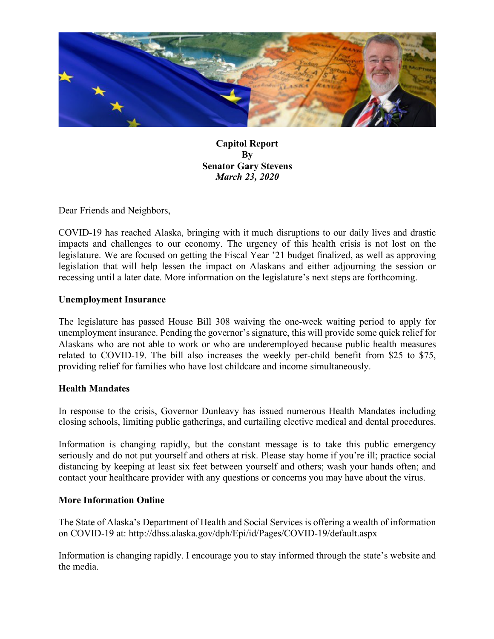

**Capitol Report By Senator Gary Stevens** *March 23, 2020*

Dear Friends and Neighbors,

COVID-19 has reached Alaska, bringing with it much disruptions to our daily lives and drastic impacts and challenges to our economy. The urgency of this health crisis is not lost on the legislature. We are focused on getting the Fiscal Year '21 budget finalized, as well as approving legislation that will help lessen the impact on Alaskans and either adjourning the session or recessing until a later date. More information on the legislature's next steps are forthcoming.

#### **Unemployment Insurance**

The legislature has passed House Bill 308 waiving the one-week waiting period to apply for unemployment insurance. Pending the governor's signature, this will provide some quick relief for Alaskans who are not able to work or who are underemployed because public health measures related to COVID-19. The bill also increases the weekly per-child benefit from \$25 to \$75, providing relief for families who have lost childcare and income simultaneously.

#### **Health Mandates**

In response to the crisis, Governor Dunleavy has issued numerous Health Mandates including closing schools, limiting public gatherings, and curtailing elective medical and dental procedures.

Information is changing rapidly, but the constant message is to take this public emergency seriously and do not put yourself and others at risk. Please stay home if you're ill; practice social distancing by keeping at least six feet between yourself and others; wash your hands often; and contact your healthcare provider with any questions or concerns you may have about the virus.

#### **More Information Online**

The State of Alaska's Department of Health and Social Services is offering a wealth of information on COVID-19 at: http://dhss.alaska.gov/dph/Epi/id/Pages/COVID-19/default.aspx

Information is changing rapidly. I encourage you to stay informed through the state's website and the media.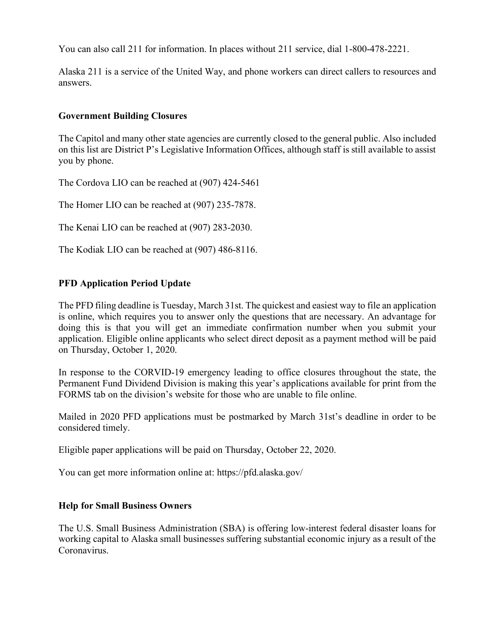You can also call 211 for information. In places without 211 service, dial 1-800-478-2221.

Alaska 211 is a service of the United Way, and phone workers can direct callers to resources and answers.

### **Government Building Closures**

The Capitol and many other state agencies are currently closed to the general public. Also included on this list are District P's Legislative Information Offices, although staff is still available to assist you by phone.

The Cordova LIO can be reached at (907) 424-5461

The Homer LIO can be reached at (907) 235-7878.

The Kenai LIO can be reached at (907) 283-2030.

The Kodiak LIO can be reached at (907) 486-8116.

## **PFD Application Period Update**

The PFD filing deadline is Tuesday, March 31st. The quickest and easiest way to file an application is online, which requires you to answer only the questions that are necessary. An advantage for doing this is that you will get an immediate confirmation number when you submit your application. Eligible online applicants who select direct deposit as a payment method will be paid on Thursday, October 1, 2020.

In response to the CORVID-19 emergency leading to office closures throughout the state, the Permanent Fund Dividend Division is making this year's applications available for print from the FORMS tab on the division's website for those who are unable to file online.

Mailed in 2020 PFD applications must be postmarked by March 31st's deadline in order to be considered timely.

Eligible paper applications will be paid on Thursday, October 22, 2020.

You can get more information online at: https://pfd.alaska.gov/

# **Help for Small Business Owners**

The U.S. Small Business Administration (SBA) is offering low-interest federal disaster loans for working capital to Alaska small businesses suffering substantial economic injury as a result of the Coronavirus.